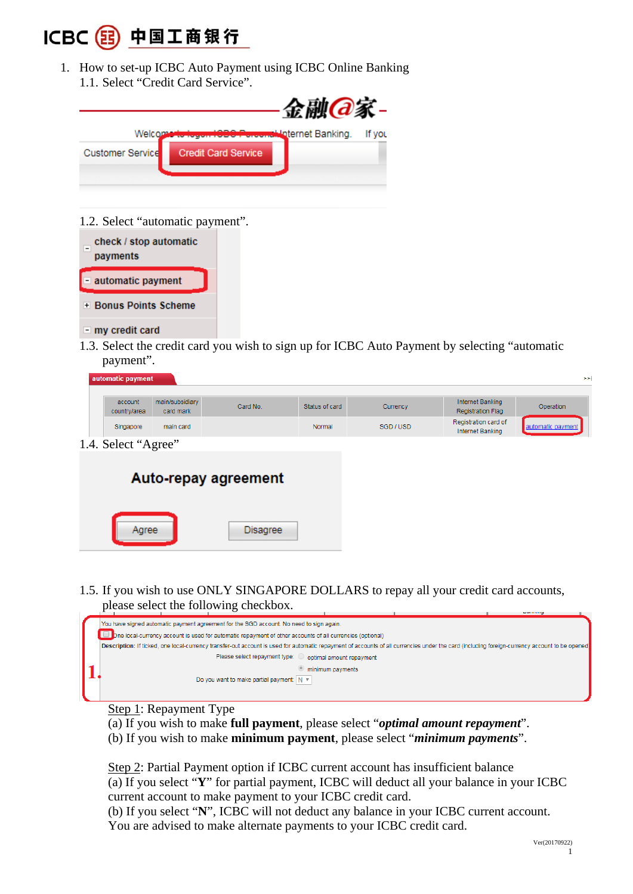

1. How to set-up ICBC Auto Payment using ICBC Online Banking 1.1. Select "Credit Card Service".



1.2. Select "automatic payment".

| check / stop automatic<br>payments |
|------------------------------------|
| - automatic payment                |
| + Bonus Points Scheme              |
| my credit card                     |

Agree

1.3. Select the credit card you wish to sign up for ICBC Auto Payment by selecting "automatic payment".

| automatic payment       |                              |                      |                |           |                                              | >>                |
|-------------------------|------------------------------|----------------------|----------------|-----------|----------------------------------------------|-------------------|
| account<br>country/area | main/subsidiary<br>card mark | Card No.             | Status of card | Currency  | Internet Banking<br><b>Registration Flag</b> | Operation         |
| Singapore               | main card                    |                      | Normal         | SGD / USD | Registration card of<br>Internet Banking     | automatic payment |
| 1.4. Select "Agree"     |                              |                      |                |           |                                              |                   |
|                         |                              | Auto-repay agreement |                |           |                                              |                   |
|                         |                              |                      |                |           |                                              |                   |

1.5. If you wish to use ONLY SINGAPORE DOLLARS to repay all your credit card accounts, please select the following checkbox.

**Disagree** 



- Step 1: Repayment Type
- (a) If you wish to make **full payment**, please select "*optimal amount repayment*".
- (b) If you wish to make **minimum payment**, please select "*minimum payments*".

Step 2: Partial Payment option if ICBC current account has insufficient balance (a) If you select "**Y**" for partial payment, ICBC will deduct all your balance in your ICBC current account to make payment to your ICBC credit card. (b) If you select "**N**", ICBC will not deduct any balance in your ICBC current account.

You are advised to make alternate payments to your ICBC credit card.